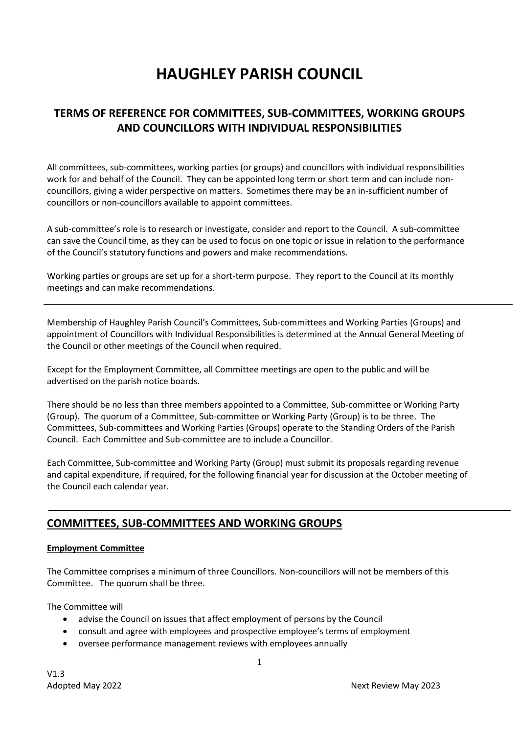# **HAUGHLEY PARISH COUNCIL**

# **TERMS OF REFERENCE FOR COMMITTEES, SUB-COMMITTEES, WORKING GROUPS AND COUNCILLORS WITH INDIVIDUAL RESPONSIBILITIES**

All committees, sub-committees, working parties (or groups) and councillors with individual responsibilities work for and behalf of the Council. They can be appointed long term or short term and can include noncouncillors, giving a wider perspective on matters. Sometimes there may be an in-sufficient number of councillors or non-councillors available to appoint committees.

A sub-committee's role is to research or investigate, consider and report to the Council. A sub-committee can save the Council time, as they can be used to focus on one topic or issue in relation to the performance of the Council's statutory functions and powers and make recommendations.

Working parties or groups are set up for a short-term purpose. They report to the Council at its monthly meetings and can make recommendations.

Membership of Haughley Parish Council's Committees, Sub-committees and Working Parties (Groups) and appointment of Councillors with Individual Responsibilities is determined at the Annual General Meeting of the Council or other meetings of the Council when required.

Except for the Employment Committee, all Committee meetings are open to the public and will be advertised on the parish notice boards.

There should be no less than three members appointed to a Committee, Sub-committee or Working Party (Group). The quorum of a Committee, Sub-committee or Working Party (Group) is to be three. The Committees, Sub-committees and Working Parties (Groups) operate to the Standing Orders of the Parish Council. Each Committee and Sub-committee are to include a Councillor.

Each Committee, Sub-committee and Working Party (Group) must submit its proposals regarding revenue and capital expenditure, if required, for the following financial year for discussion at the October meeting of the Council each calendar year.

# **COMMITTEES, SUB-COMMITTEES AND WORKING GROUPS**

#### **Employment Committee**

The Committee comprises a minimum of three Councillors. Non-councillors will not be members of this Committee. The quorum shall be three.

The Committee will

- advise the Council on issues that affect employment of persons by the Council
- consult and agree with employees and prospective employee's terms of employment
- oversee performance management reviews with employees annually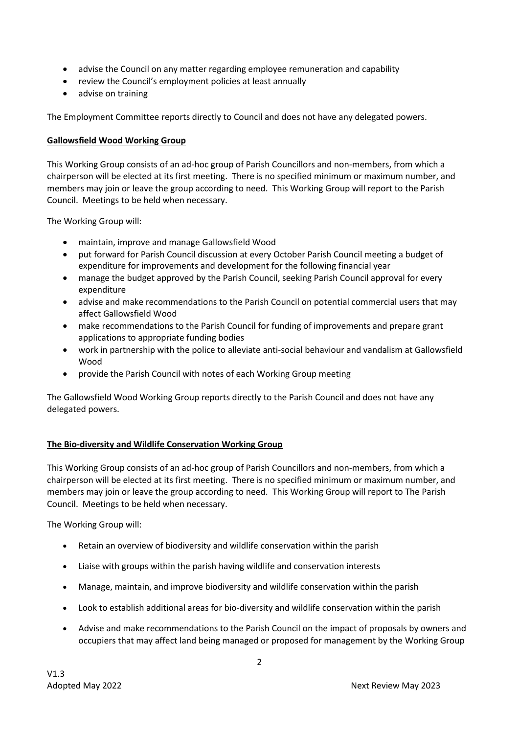- advise the Council on any matter regarding employee remuneration and capability
- review the Council's employment policies at least annually
- advise on training

The Employment Committee reports directly to Council and does not have any delegated powers.

#### **Gallowsfield Wood Working Group**

This Working Group consists of an ad-hoc group of Parish Councillors and non-members, from which a chairperson will be elected at its first meeting. There is no specified minimum or maximum number, and members may join or leave the group according to need. This Working Group will report to the Parish Council. Meetings to be held when necessary.

The Working Group will:

- maintain, improve and manage Gallowsfield Wood
- put forward for Parish Council discussion at every October Parish Council meeting a budget of expenditure for improvements and development for the following financial year
- manage the budget approved by the Parish Council, seeking Parish Council approval for every expenditure
- advise and make recommendations to the Parish Council on potential commercial users that may affect Gallowsfield Wood
- make recommendations to the Parish Council for funding of improvements and prepare grant applications to appropriate funding bodies
- work in partnership with the police to alleviate anti-social behaviour and vandalism at Gallowsfield Wood
- provide the Parish Council with notes of each Working Group meeting

The Gallowsfield Wood Working Group reports directly to the Parish Council and does not have any delegated powers.

## **The Bio-diversity and Wildlife Conservation Working Group**

This Working Group consists of an ad-hoc group of Parish Councillors and non-members, from which a chairperson will be elected at its first meeting. There is no specified minimum or maximum number, and members may join or leave the group according to need. This Working Group will report to The Parish Council. Meetings to be held when necessary.

The Working Group will:

- Retain an overview of biodiversity and wildlife conservation within the parish
- Liaise with groups within the parish having wildlife and conservation interests
- Manage, maintain, and improve biodiversity and wildlife conservation within the parish
- Look to establish additional areas for bio-diversity and wildlife conservation within the parish
- Advise and make recommendations to the Parish Council on the impact of proposals by owners and occupiers that may affect land being managed or proposed for management by the Working Group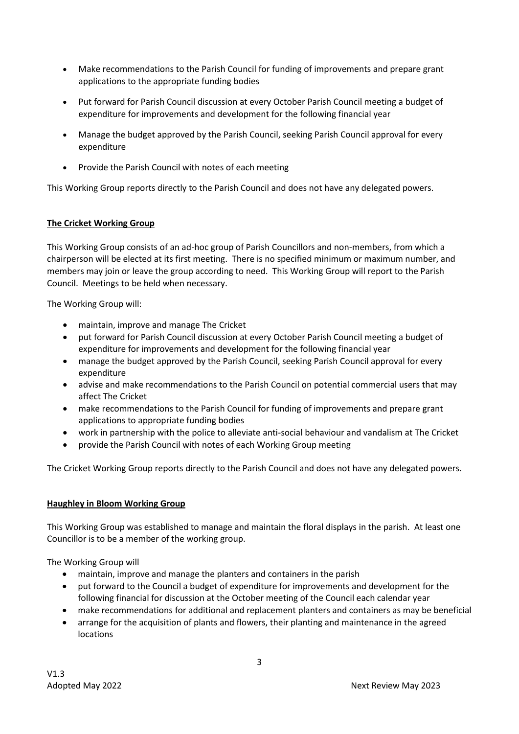- Make recommendations to the Parish Council for funding of improvements and prepare grant applications to the appropriate funding bodies
- Put forward for Parish Council discussion at every October Parish Council meeting a budget of expenditure for improvements and development for the following financial year
- Manage the budget approved by the Parish Council, seeking Parish Council approval for every expenditure
- Provide the Parish Council with notes of each meeting

This Working Group reports directly to the Parish Council and does not have any delegated powers.

## **The Cricket Working Group**

This Working Group consists of an ad-hoc group of Parish Councillors and non-members, from which a chairperson will be elected at its first meeting. There is no specified minimum or maximum number, and members may join or leave the group according to need. This Working Group will report to the Parish Council. Meetings to be held when necessary.

The Working Group will:

- maintain, improve and manage The Cricket
- put forward for Parish Council discussion at every October Parish Council meeting a budget of expenditure for improvements and development for the following financial year
- manage the budget approved by the Parish Council, seeking Parish Council approval for every expenditure
- advise and make recommendations to the Parish Council on potential commercial users that may affect The Cricket
- make recommendations to the Parish Council for funding of improvements and prepare grant applications to appropriate funding bodies
- work in partnership with the police to alleviate anti-social behaviour and vandalism at The Cricket
- provide the Parish Council with notes of each Working Group meeting

The Cricket Working Group reports directly to the Parish Council and does not have any delegated powers.

## **Haughley in Bloom Working Group**

This Working Group was established to manage and maintain the floral displays in the parish. At least one Councillor is to be a member of the working group.

The Working Group will

- maintain, improve and manage the planters and containers in the parish
- put forward to the Council a budget of expenditure for improvements and development for the following financial for discussion at the October meeting of the Council each calendar year
- make recommendations for additional and replacement planters and containers as may be beneficial
- arrange for the acquisition of plants and flowers, their planting and maintenance in the agreed locations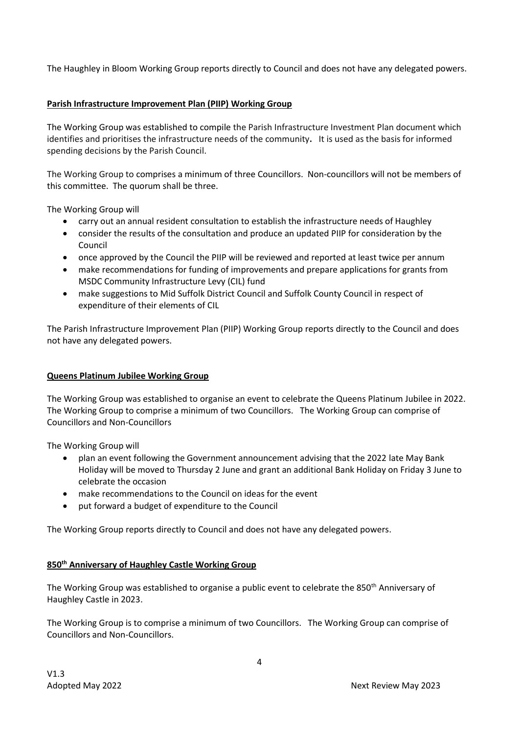The Haughley in Bloom Working Group reports directly to Council and does not have any delegated powers.

## **Parish Infrastructure Improvement Plan (PIIP) Working Group**

The Working Group was established to compile the Parish Infrastructure Investment Plan document which identifies and prioritises the infrastructure needs of the community**.** It is used as the basis for informed spending decisions by the Parish Council.

The Working Group to comprises a minimum of three Councillors. Non-councillors will not be members of this committee. The quorum shall be three.

The Working Group will

- carry out an annual resident consultation to establish the infrastructure needs of Haughley
- consider the results of the consultation and produce an updated PIIP for consideration by the Council
- once approved by the Council the PIIP will be reviewed and reported at least twice per annum
- make recommendations for funding of improvements and prepare applications for grants from MSDC Community Infrastructure Levy (CIL) fund
- make suggestions to Mid Suffolk District Council and Suffolk County Council in respect of expenditure of their elements of CIL

The Parish Infrastructure Improvement Plan (PIIP) Working Group reports directly to the Council and does not have any delegated powers.

## **Queens Platinum Jubilee Working Group**

The Working Group was established to organise an event to celebrate the Queens Platinum Jubilee in 2022. The Working Group to comprise a minimum of two Councillors. The Working Group can comprise of Councillors and Non-Councillors

The Working Group will

- plan an event following the Government announcement advising that the 2022 late May Bank Holiday will be moved to Thursday 2 June and grant an additional Bank Holiday on Friday 3 June to celebrate the occasion
- make recommendations to the Council on ideas for the event
- put forward a budget of expenditure to the Council

The Working Group reports directly to Council and does not have any delegated powers.

## **850th Anniversary of Haughley Castle Working Group**

The Working Group was established to organise a public event to celebrate the 850<sup>th</sup> Anniversary of Haughley Castle in 2023.

The Working Group is to comprise a minimum of two Councillors. The Working Group can comprise of Councillors and Non-Councillors.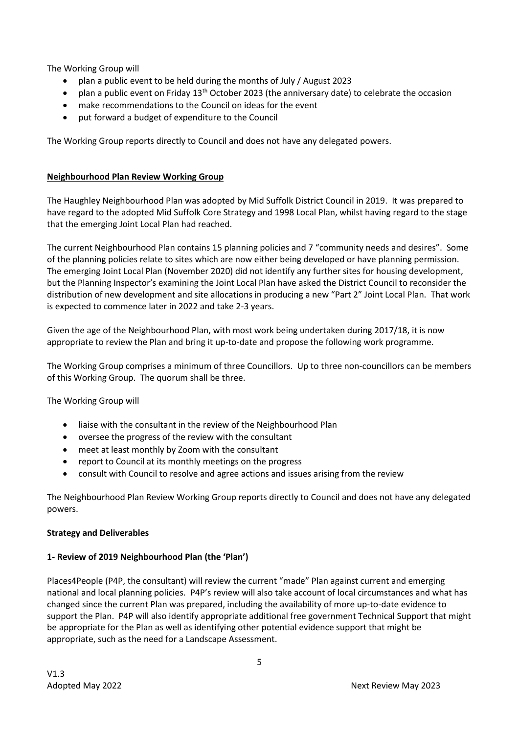The Working Group will

- plan a public event to be held during the months of July / August 2023
- plan a public event on Friday  $13<sup>th</sup>$  October 2023 (the anniversary date) to celebrate the occasion
- make recommendations to the Council on ideas for the event
- put forward a budget of expenditure to the Council

The Working Group reports directly to Council and does not have any delegated powers.

## **Neighbourhood Plan Review Working Group**

The Haughley Neighbourhood Plan was adopted by Mid Suffolk District Council in 2019. It was prepared to have regard to the adopted Mid Suffolk Core Strategy and 1998 Local Plan, whilst having regard to the stage that the emerging Joint Local Plan had reached.

The current Neighbourhood Plan contains 15 planning policies and 7 "community needs and desires". Some of the planning policies relate to sites which are now either being developed or have planning permission. The emerging Joint Local Plan (November 2020) did not identify any further sites for housing development, but the Planning Inspector's examining the Joint Local Plan have asked the District Council to reconsider the distribution of new development and site allocations in producing a new "Part 2" Joint Local Plan. That work is expected to commence later in 2022 and take 2-3 years.

Given the age of the Neighbourhood Plan, with most work being undertaken during 2017/18, it is now appropriate to review the Plan and bring it up-to-date and propose the following work programme.

The Working Group comprises a minimum of three Councillors. Up to three non-councillors can be members of this Working Group. The quorum shall be three.

The Working Group will

- liaise with the consultant in the review of the Neighbourhood Plan
- oversee the progress of the review with the consultant
- meet at least monthly by Zoom with the consultant
- report to Council at its monthly meetings on the progress
- consult with Council to resolve and agree actions and issues arising from the review

The Neighbourhood Plan Review Working Group reports directly to Council and does not have any delegated powers.

## **Strategy and Deliverables**

## **1- Review of 2019 Neighbourhood Plan (the 'Plan')**

Places4People (P4P, the consultant) will review the current "made" Plan against current and emerging national and local planning policies. P4P's review will also take account of local circumstances and what has changed since the current Plan was prepared, including the availability of more up-to-date evidence to support the Plan. P4P will also identify appropriate additional free government Technical Support that might be appropriate for the Plan as well as identifying other potential evidence support that might be appropriate, such as the need for a Landscape Assessment.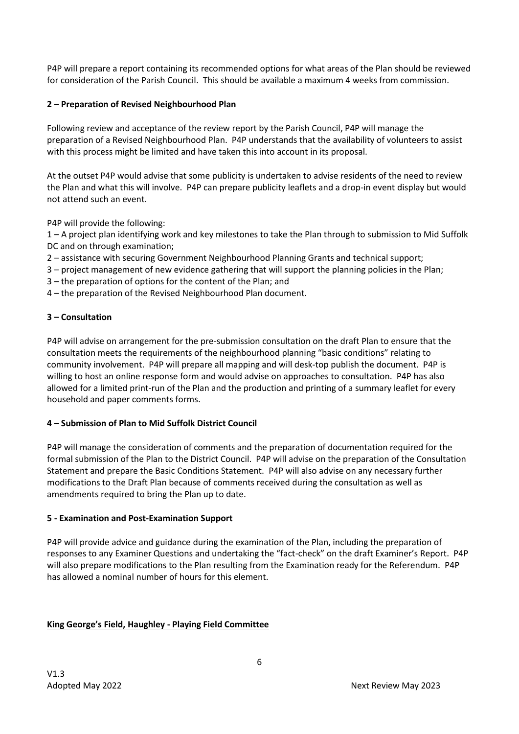P4P will prepare a report containing its recommended options for what areas of the Plan should be reviewed for consideration of the Parish Council. This should be available a maximum 4 weeks from commission.

# **2 – Preparation of Revised Neighbourhood Plan**

Following review and acceptance of the review report by the Parish Council, P4P will manage the preparation of a Revised Neighbourhood Plan. P4P understands that the availability of volunteers to assist with this process might be limited and have taken this into account in its proposal.

At the outset P4P would advise that some publicity is undertaken to advise residents of the need to review the Plan and what this will involve. P4P can prepare publicity leaflets and a drop-in event display but would not attend such an event.

P4P will provide the following:

1 – A project plan identifying work and key milestones to take the Plan through to submission to Mid Suffolk DC and on through examination;

- 2 assistance with securing Government Neighbourhood Planning Grants and technical support;
- 3 project management of new evidence gathering that will support the planning policies in the Plan;
- 3 the preparation of options for the content of the Plan; and
- 4 the preparation of the Revised Neighbourhood Plan document.

## **3 – Consultation**

P4P will advise on arrangement for the pre-submission consultation on the draft Plan to ensure that the consultation meets the requirements of the neighbourhood planning "basic conditions" relating to community involvement. P4P will prepare all mapping and will desk-top publish the document. P4P is willing to host an online response form and would advise on approaches to consultation. P4P has also allowed for a limited print-run of the Plan and the production and printing of a summary leaflet for every household and paper comments forms.

## **4 – Submission of Plan to Mid Suffolk District Council**

P4P will manage the consideration of comments and the preparation of documentation required for the formal submission of the Plan to the District Council. P4P will advise on the preparation of the Consultation Statement and prepare the Basic Conditions Statement. P4P will also advise on any necessary further modifications to the Draft Plan because of comments received during the consultation as well as amendments required to bring the Plan up to date.

## **5 - Examination and Post-Examination Support**

P4P will provide advice and guidance during the examination of the Plan, including the preparation of responses to any Examiner Questions and undertaking the "fact-check" on the draft Examiner's Report. P4P will also prepare modifications to the Plan resulting from the Examination ready for the Referendum. P4P has allowed a nominal number of hours for this element.

# **King George's Field, Haughley - Playing Field Committee**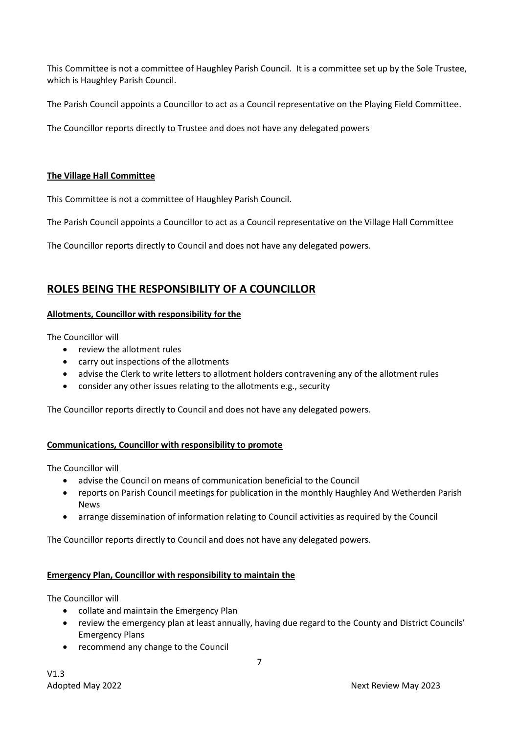This Committee is not a committee of Haughley Parish Council. It is a committee set up by the Sole Trustee, which is Haughley Parish Council.

The Parish Council appoints a Councillor to act as a Council representative on the Playing Field Committee.

The Councillor reports directly to Trustee and does not have any delegated powers

#### **The Village Hall Committee**

This Committee is not a committee of Haughley Parish Council.

The Parish Council appoints a Councillor to act as a Council representative on the Village Hall Committee

The Councillor reports directly to Council and does not have any delegated powers.

# **ROLES BEING THE RESPONSIBILITY OF A COUNCILLOR**

#### **Allotments, Councillor with responsibility for the**

The Councillor will

- review the allotment rules
- carry out inspections of the allotments
- advise the Clerk to write letters to allotment holders contravening any of the allotment rules
- consider any other issues relating to the allotments e.g., security

The Councillor reports directly to Council and does not have any delegated powers.

## **Communications, Councillor with responsibility to promote**

The Councillor will

- advise the Council on means of communication beneficial to the Council
- reports on Parish Council meetings for publication in the monthly Haughley And Wetherden Parish News
- arrange dissemination of information relating to Council activities as required by the Council

The Councillor reports directly to Council and does not have any delegated powers.

#### **Emergency Plan, Councillor with responsibility to maintain the**

The Councillor will

- collate and maintain the Emergency Plan
- review the emergency plan at least annually, having due regard to the County and District Councils' Emergency Plans
- recommend any change to the Council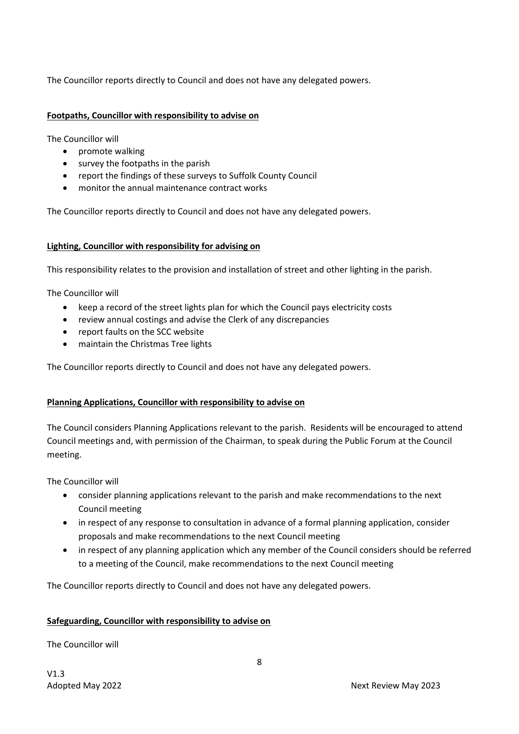The Councillor reports directly to Council and does not have any delegated powers.

#### **Footpaths, Councillor with responsibility to advise on**

The Councillor will

- promote walking
- survey the footpaths in the parish
- report the findings of these surveys to Suffolk County Council
- monitor the annual maintenance contract works

The Councillor reports directly to Council and does not have any delegated powers.

#### **Lighting, Councillor with responsibility for advising on**

This responsibility relates to the provision and installation of street and other lighting in the parish.

The Councillor will

- keep a record of the street lights plan for which the Council pays electricity costs
- review annual costings and advise the Clerk of any discrepancies
- report faults on the SCC website
- maintain the Christmas Tree lights

The Councillor reports directly to Council and does not have any delegated powers.

## **Planning Applications, Councillor with responsibility to advise on**

The Council considers Planning Applications relevant to the parish. Residents will be encouraged to attend Council meetings and, with permission of the Chairman, to speak during the Public Forum at the Council meeting.

The Councillor will

- consider planning applications relevant to the parish and make recommendations to the next Council meeting
- in respect of any response to consultation in advance of a formal planning application, consider proposals and make recommendations to the next Council meeting
- in respect of any planning application which any member of the Council considers should be referred to a meeting of the Council, make recommendations to the next Council meeting

The Councillor reports directly to Council and does not have any delegated powers.

## **Safeguarding, Councillor with responsibility to advise on**

The Councillor will